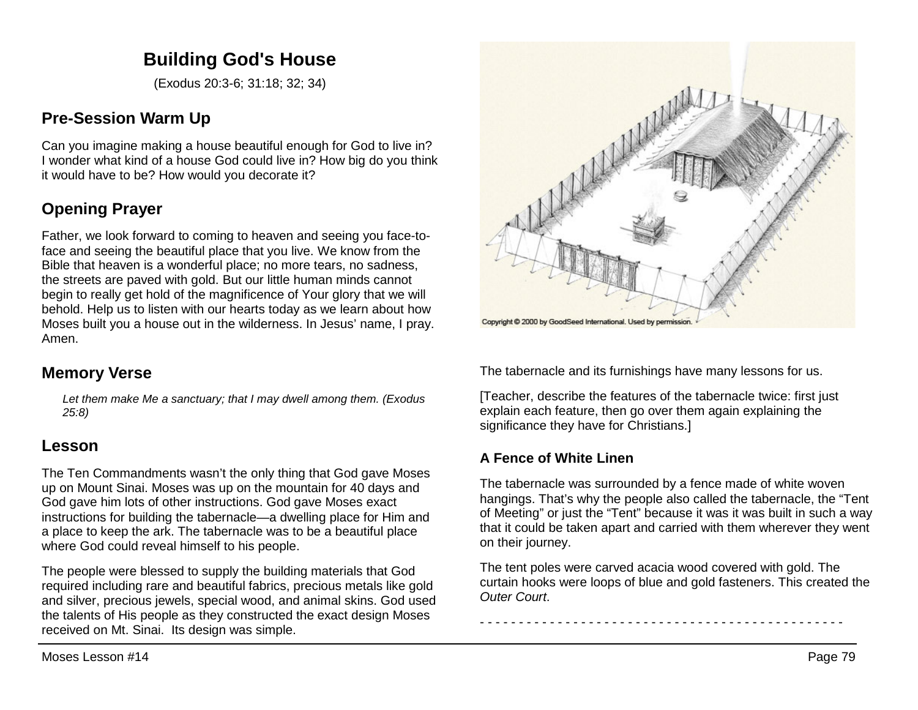# **Building God's House**

(Exodus 20:3-6; 31:18; 32; 34)

# **Pre-Session Warm Up**

Can you imagine making a house beautiful enough for God to live in? I wonder what kind of a house God could live in? How big do you think it would have to be? How would you decorate it?

# **Opening Prayer**

Father, we look forward to coming to heaven and seeing you face-toface and seeing the beautiful place that you live. We know from the Bible that heaven is a wonderful place; no more tears, no sadness, the streets are paved with gold. But our little human minds cannot begin to really get hold of the magnificence of Your glory that we will behold. Help us to listen with our hearts today as we learn about how Moses built you a house out in the wilderness. In Jesus' name, I pray. Amen.

### **Memory Verse**

*Let them make Me a sanctuary; that I may dwell among them. (Exodus 25:8)*

### **Lesson**

The Ten Commandments wasn't the only thing that God gave Moses up on Mount Sinai. Moses was up on the mountain for 40 days and God gave him lots of other instructions. God gave Moses exact instructions for building the tabernacle—a dwelling place for Him and a place to keep the ark. The tabernacle was to be a beautiful place where God could reveal himself to his people.

The people were blessed to supply the building materials that God required including rare and beautiful fabrics, precious metals like gold and silver, precious jewels, special wood, and animal skins. God used the talents of His people as they constructed the exact design Moses received on Mt. Sinai. Its design was simple.



The tabernacle and its furnishings have many lessons for us.

[Teacher, describe the features of the tabernacle twice: first just explain each feature, then go over them again explaining the significance they have for Christians.]

### **A Fence of White Linen**

The tabernacle was surrounded by a fence made of white woven hangings. That's why the people also called the tabernacle, the "Tent of Meeting" or just the "Tent" because it was it was built in such a way that it could be taken apart and carried with them wherever they went on their journey.

The tent poles were carved acacia wood covered with gold. The curtain hooks were loops of blue and gold fasteners. This created the *Outer Court*.

- - - - - - - - - - - - - - - - - - - - - - - - - - - - - - - - - - - - - - - - - - - - - - -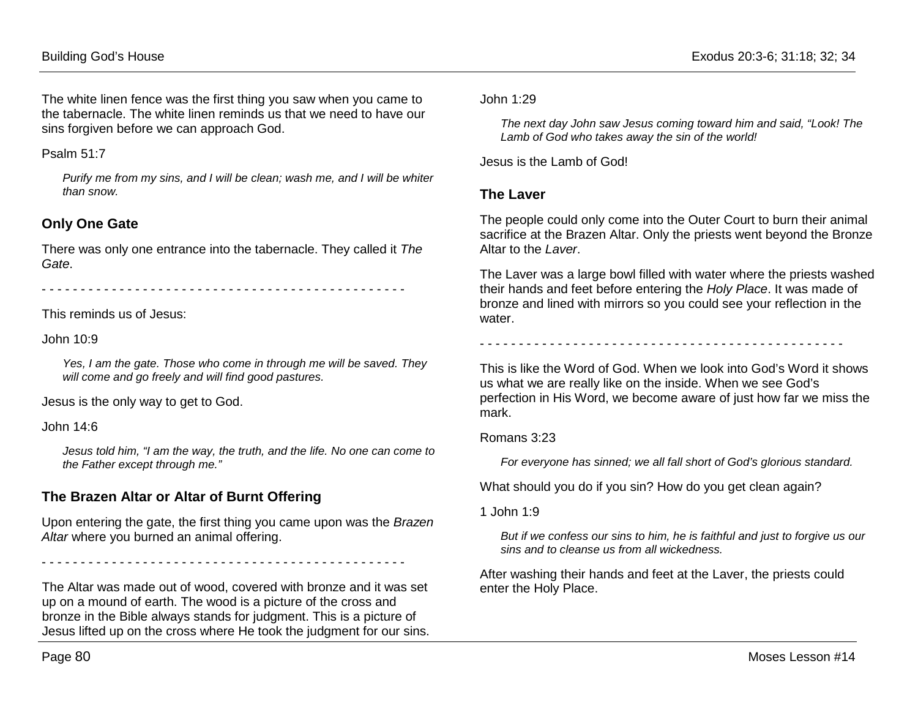The white linen fence was the first thing you saw when you came to the tabernacle. The white linen reminds us that we need to have our sins forgiven before we can approach God.

#### Psalm 51:7

*Purify me from my sins, and I will be clean; wash me, and I will be whiter than snow.*

### **Only One Gate**

There was only one entrance into the tabernacle. They called it *The Gate*.

- - - - - - - - - - - - - - - - - - - - - - - - - - - - - - - - - - - - - - - - - - - - - - -

This reminds us of Jesus:

John 10:9

*Yes, I am the gate. Those who come in through me will be saved. They will come and go freely and will find good pastures.* 

Jesus is the only way to get to God.

John 14:6

*Jesus told him, "I am the way, the truth, and the life. No one can come to the Father except through me."*

### **The Brazen Altar or Altar of Burnt Offering**

Upon entering the gate, the first thing you came upon was the *Brazen Altar* where you burned an animal offering.

- - - - - - - - - - - - - - - - - - - - - - - - - - - - - - - - - - - - - - - - - - - - - - -

The Altar was made out of wood, covered with bronze and it was set up on a mound of earth. The wood is a picture of the cross and bronze in the Bible always stands for judgment. This is a picture of Jesus lifted up on the cross where He took the judgment for our sins. John 1:29

*The next day John saw Jesus coming toward him and said, "Look! The Lamb of God who takes away the sin of the world!*

Jesus is the Lamb of God!

#### **The Laver**

The people could only come into the Outer Court to burn their animal sacrifice at the Brazen Altar. Only the priests went beyond the Bronze Altar to the *Laver*.

The Laver was a large bowl filled with water where the priests washed their hands and feet before entering the *Holy Place*. It was made of bronze and lined with mirrors so you could see your reflection in the water.

- - - - - - - - - - - - - - - - - - - - - - - - - - - - - - - - - - - - - - - - - - - - - - -

This is like the Word of God. When we look into God's Word it shows us what we are really like on the inside. When we see God's perfection in His Word, we become aware of just how far we miss the mark.

#### Romans 3:23

*For everyone has sinned; we all fall short of God's glorious standard.*

What should you do if you sin? How do you get clean again?

1 John 1:9

*But if we confess our sins to him, he is faithful and just to forgive us our sins and to cleanse us from all wickedness.*

After washing their hands and feet at the Laver, the priests could enter the Holy Place.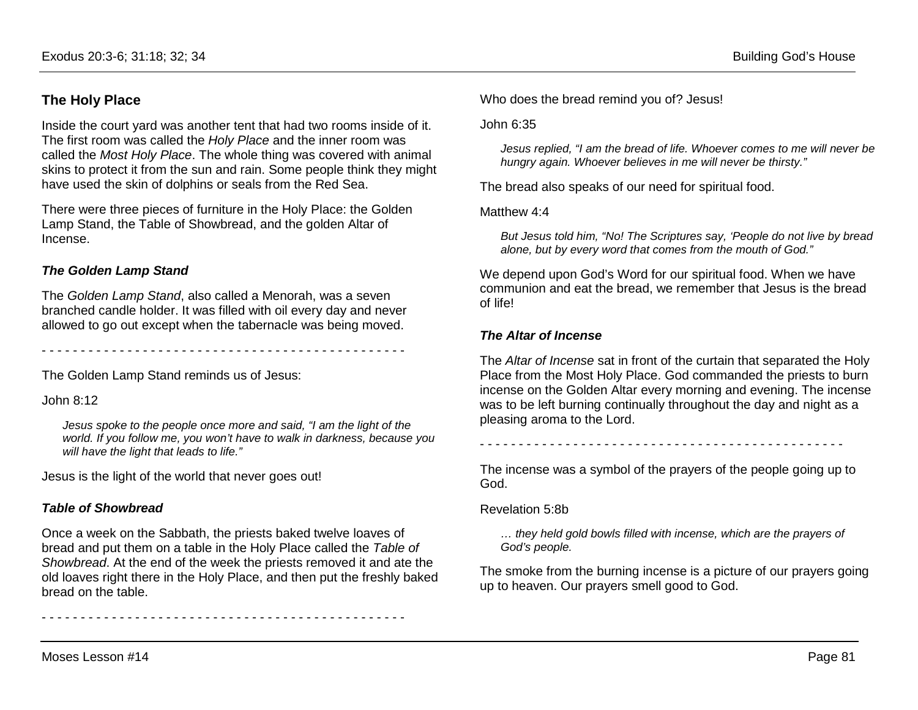### **The Holy Place**

Inside the court yard was another tent that had two rooms inside of it. The first room was called the *Holy Place* and the inner room was called the *Most Holy Place*. The whole thing was covered with animal skins to protect it from the sun and rain. Some people think they might have used the skin of dolphins or seals from the Red Sea.

There were three pieces of furniture in the Holy Place: the Golden Lamp Stand, the Table of Showbread, and the golden Altar of Incense.

### *The Golden Lamp Stand*

The *Golden Lamp Stand*, also called a Menorah, was a seven branched candle holder. It was filled with oil every day and never allowed to go out except when the tabernacle was being moved.

The Golden Lamp Stand reminds us of Jesus:

#### John 8:12

*Jesus spoke to the people once more and said, "I am the light of the world. If you follow me, you won't have to walk in darkness, because you will have the light that leads to life."*

- - - - - - - - - - - - - - - - - - - - - - - - - - - - - - - - - - - - - - - - - - - - - - -

Jesus is the light of the world that never goes out!

#### *Table of Showbread*

Once a week on the Sabbath, the priests baked twelve loaves of bread and put them on a table in the Holy Place called the *Table of Showbread*. At the end of the week the priests removed it and ate the old loaves right there in the Holy Place, and then put the freshly baked bread on the table.

- - - - - - - - - - - - - - - - - - - - - - - - - - - - - - - - - - - - - - - - - - - - - - -

Who does the bread remind you of? Jesus!

John 6:35

*Jesus replied, "I am the bread of life. Whoever comes to me will never be hungry again. Whoever believes in me will never be thirsty."*

The bread also speaks of our need for spiritual food.

Matthew 4:4

*But Jesus told him, "No! The Scriptures say, 'People do not live by bread alone, but by every word that comes from the mouth of God."*

We depend upon God's Word for our spiritual food. When we have communion and eat the bread, we remember that Jesus is the bread of life!

### *The Altar of Incense*

The *Altar of Incense* sat in front of the curtain that separated the Holy Place from the Most Holy Place. God commanded the priests to burn incense on the Golden Altar every morning and evening. The incense was to be left burning continually throughout the day and night as a pleasing aroma to the Lord.

- - - - - - - - - - - - - - - - - - - - - - - - - - - - - - - - - - - - - - - - - - - - - - -

The incense was a symbol of the prayers of the people going up to God.

Revelation 5:8b

*… they held gold bowls filled with incense, which are the prayers of God's people.*

The smoke from the burning incense is a picture of our prayers going up to heaven. Our prayers smell good to God.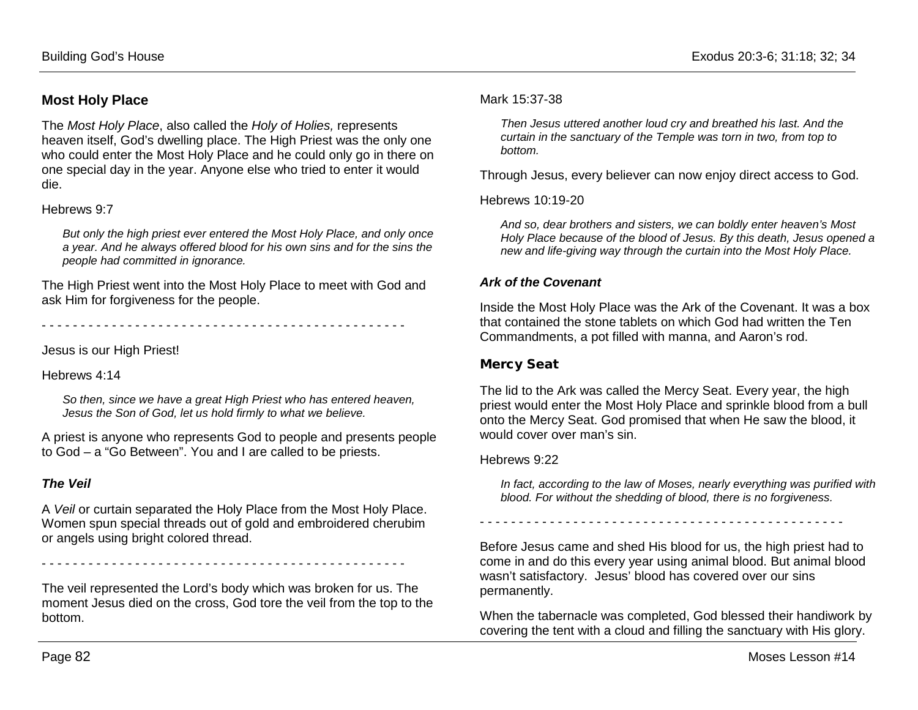### **Most Holy Place**

The *Most Holy Place*, also called the *Holy of Holies,* represents heaven itself, God's dwelling place. The High Priest was the only one who could enter the Most Holy Place and he could only go in there on one special day in the year. Anyone else who tried to enter it would die.

#### Hebrews 9:7

*But only the high priest ever entered the Most Holy Place, and only once a year. And he always offered blood for his own sins and for the sins the people had committed in ignorance.* 

The High Priest went into the Most Holy Place to meet with God and ask Him for forgiveness for the people.

- - - - - - - - - - - - - - - - - - - - - - - - - - - - - - - - - - - - - - - - - - - - - - -

Jesus is our High Priest!

Hebrews 4:14

*So then, since we have a great High Priest who has entered heaven, Jesus the Son of God, let us hold firmly to what we believe.*

A priest is anyone who represents God to people and presents people to God – a "Go Between". You and I are called to be priests.

#### *The Veil*

A *Veil* or curtain separated the Holy Place from the Most Holy Place. Women spun special threads out of gold and embroidered cherubim or angels using bright colored thread.

- - - - - - - - - - - - - - - - - - - - - - - - - - - - - - - - - - - - - - - - - - - - - - -

The veil represented the Lord's body which was broken for us. The moment Jesus died on the cross, God tore the veil from the top to the bottom.

Mark 15:37-38

*Then Jesus uttered another loud cry and breathed his last. And the curtain in the sanctuary of the Temple was torn in two, from top to bottom.*

Through Jesus, every believer can now enjoy direct access to God.

Hebrews 10:19-20

*And so, dear brothers and sisters, we can boldly enter heaven's Most Holy Place because of the blood of Jesus. By this death, Jesus opened a new and life-giving way through the curtain into the Most Holy Place.*

#### *Ark of the Covenant*

Inside the Most Holy Place was the Ark of the Covenant. It was a box that contained the stone tablets on which God had written the Ten Commandments, a pot filled with manna, and Aaron's rod.

#### Mercy Seat

The lid to the Ark was called the Mercy Seat. Every year, the high priest would enter the Most Holy Place and sprinkle blood from a bull onto the Mercy Seat. God promised that when He saw the blood, it would cover over man's sin.

#### Hebrews 9:22

*In fact, according to the law of Moses, nearly everything was purified with blood. For without the shedding of blood, there is no forgiveness.*

Before Jesus came and shed His blood for us, the high priest had to come in and do this every year using animal blood. But animal blood wasn't satisfactory. Jesus' blood has covered over our sins permanently.

- - - - - - - - - - - - - - - - - - - - - - - - - - - - - - - - - - - - - - - - - - - - - - -

When the tabernacle was completed, God blessed their handiwork by covering the tent with a cloud and filling the sanctuary with His glory.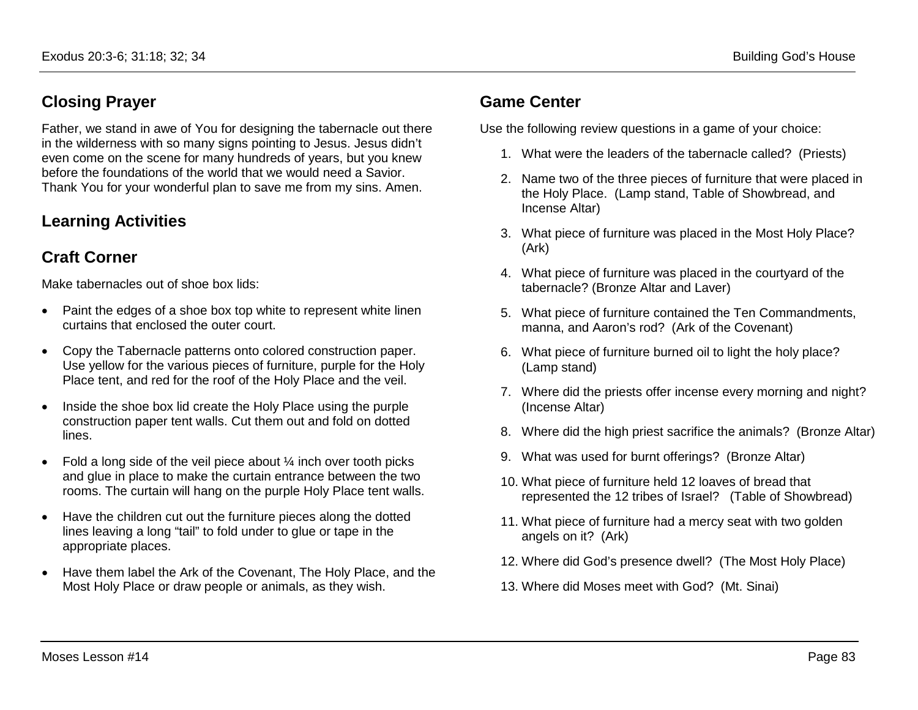## **Closing Prayer**

Father, we stand in awe of You for designing the tabernacle out there in the wilderness with so many signs pointing to Jesus. Jesus didn't even come on the scene for many hundreds of years, but you knew before the foundations of the world that we would need a Savior. Thank You for your wonderful plan to save me from my sins. Amen.

# **Learning Activities**

## **Craft Corner**

Make tabernacles out of shoe box lids:

- Paint the edges of a shoe box top white to represent white linen curtains that enclosed the outer court.
- Copy the Tabernacle patterns onto colored construction paper. Use yellow for the various pieces of furniture, purple for the Holy Place tent, and red for the roof of the Holy Place and the veil.
- Inside the shoe box lid create the Holy Place using the purple construction paper tent walls. Cut them out and fold on dotted lines.
- Fold a long side of the veil piece about  $\frac{1}{4}$  inch over tooth picks and glue in place to make the curtain entrance between the two rooms. The curtain will hang on the purple Holy Place tent walls.
- Have the children cut out the furniture pieces along the dotted lines leaving a long "tail" to fold under to glue or tape in the appropriate places.
- Have them label the Ark of the Covenant, The Holy Place, and the Most Holy Place or draw people or animals, as they wish.

## **Game Center**

Use the following review questions in a game of your choice:

- 1. What were the leaders of the tabernacle called? (Priests)
- 2. Name two of the three pieces of furniture that were placed in the Holy Place. (Lamp stand, Table of Showbread, and Incense Altar)
- 3. What piece of furniture was placed in the Most Holy Place? (Ark)
- 4. What piece of furniture was placed in the courtyard of the tabernacle? (Bronze Altar and Laver)
- 5. What piece of furniture contained the Ten Commandments, manna, and Aaron's rod? (Ark of the Covenant)
- 6. What piece of furniture burned oil to light the holy place? (Lamp stand)
- 7. Where did the priests offer incense every morning and night? (Incense Altar)
- 8. Where did the high priest sacrifice the animals? (Bronze Altar)
- 9. What was used for burnt offerings? (Bronze Altar)
- 10. What piece of furniture held 12 loaves of bread that represented the 12 tribes of Israel? (Table of Showbread)
- 11. What piece of furniture had a mercy seat with two golden angels on it? (Ark)
- 12. Where did God's presence dwell? (The Most Holy Place)
- 13. Where did Moses meet with God? (Mt. Sinai)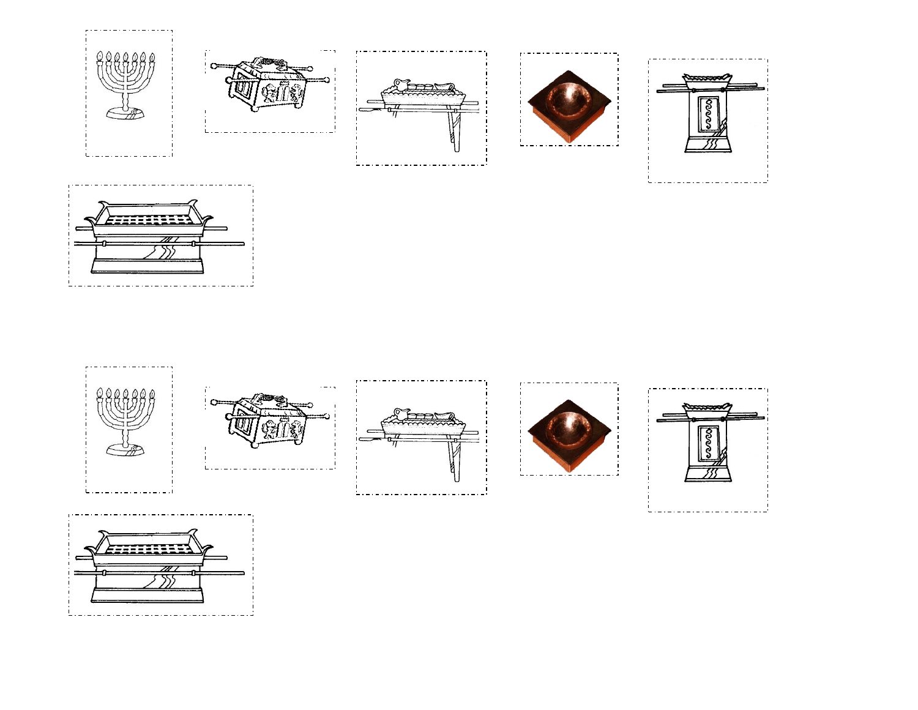